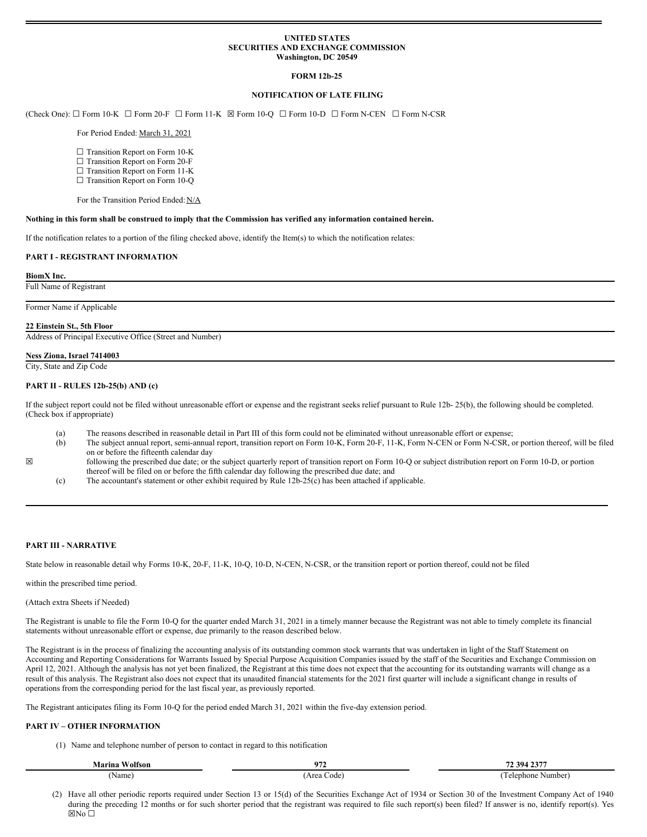## **UNITED STATES SECURITIES AND EXCHANGE COMMISSION Washington, DC 20549**

# **FORM 12b-25**

## **NOTIFICATION OF LATE FILING**

(Check One): ☐ Form 10-K ☐ Form 20-F ☐ Form 11-K ☒ Form 10-Q ☐ Form 10-D ☐ Form N-CEN ☐ Form N-CSR

## For Period Ended: March 31, 2021

- □ Transition Report on Form 10-K
- □ Transition Report on Form 20-F
- □ Transition Report on Form 11-K
- □ Transition Report on Form 10-Q

For the Transition Period Ended: N/A

## Nothing in this form shall be construed to imply that the Commission has verified any information contained herein.

If the notification relates to a portion of the filing checked above, identify the Item(s) to which the notification relates:

### **PART I - REGISTRANT INFORMATION**

#### **BiomX Inc.**

Full Name of Registrant

Former Name if Applicable

#### **22 Einstein St., 5th Floor**

Address of Principal Executive Office (Street and Number)

### **Ness Ziona, Israel 7414003**

City, State and Zip Code

### **PART II - RULES 12b-25(b) AND (c)**

If the subject report could not be filed without unreasonable effort or expense and the registrant seeks relief pursuant to Rule 12b- 25(b), the following should be completed. (Check box if appropriate)

- (a) The reasons described in reasonable detail in Part III of this form could not be eliminated without unreasonable effort or expense;
- (b) The subject annual report, semi-annual report, transition report on Form 10-K, Form 20-F, 11-K, Form N-CEN or Form N-CSR, or portion thereof, will be filed on or before the fifteenth calendar day
- ☒ following the prescribed due date; or the subject quarterly report of transition report on Form 10-Q or subject distribution report on Form 10-D, or portion thereof will be filed on or before the fifth calendar day following the prescribed due date; and
	- (c) The accountant's statement or other exhibit required by Rule 12b-25(c) has been attached if applicable.

## **PART III - NARRATIVE**

State below in reasonable detail why Forms 10-K, 20-F, 11-K, 10-Q, 10-D, N-CEN, N-CSR, or the transition report or portion thereof, could not be filed

within the prescribed time period.

## (Attach extra Sheets if Needed)

The Registrant is unable to file the Form 10-Q for the quarter ended March 31, 2021 in a timely manner because the Registrant was not able to timely complete its financial statements without unreasonable effort or expense, due primarily to the reason described below.

The Registrant is in the process of finalizing the accounting analysis of its outstanding common stock warrants that was undertaken in light of the Staff Statement on Accounting and Reporting Considerations for Warrants Issued by Special Purpose Acquisition Companies issued by the staff of the Securities and Exchange Commission on April 12, 2021. Although the analysis has not yet been finalized, the Registrant at this time does not expect that the accounting for its outstanding warrants will change as a result of this analysis. The Registrant also does not expect that its unaudited financial statements for the 2021 first quarter will include a significant change in results of operations from the corresponding period for the last fiscal year, as previously reported.

The Registrant anticipates filing its Form 10-Q for the period ended March 31, 2021 within the five-day extension period.

### **PART IV – OTHER INFORMATION**

(1) Name and telephone number of person to contact in regard to this notification

| <b>10</b><br>Marina<br>olfson | $0^{\prime\prime}$ | 1.394.2377<br>$\cdot$<br>∼ |
|-------------------------------|--------------------|----------------------------|
| Name                          | ode<br>ممور<br>.   | Number<br>elephone<br>.    |

(2) Have all other periodic reports required under Section 13 or 15(d) of the Securities Exchange Act of 1934 or Section 30 of the Investment Company Act of 1940 during the preceding 12 months or for such shorter period that the registrant was required to file such report(s) been filed? If answer is no, identify report(s). Yes **⊠No** □